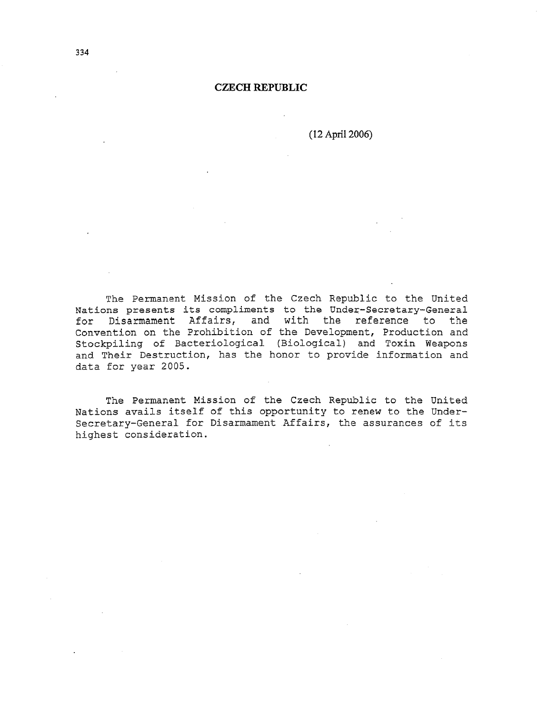#### **CZECH REPUBLIC**

( 12 April 2006)

The Permanent Mission of the Czech Republic to the United Nations presents its compliments to the Under-Secretary-General for Disarmament Affairs, and with the reference to the Convention on the Prohibition of the Development, Production and Stockpiling of Bacteriological (Biological) and Toxin Weapons and Their Destruction, has the honor to provide information and data for year 2005.

The Permanent Mission of the Czech Republic to the United Nations avails itself of this opportunity to renew to the Undersecretary-General for Disarmament Affairs, the assurances of its highest consideration.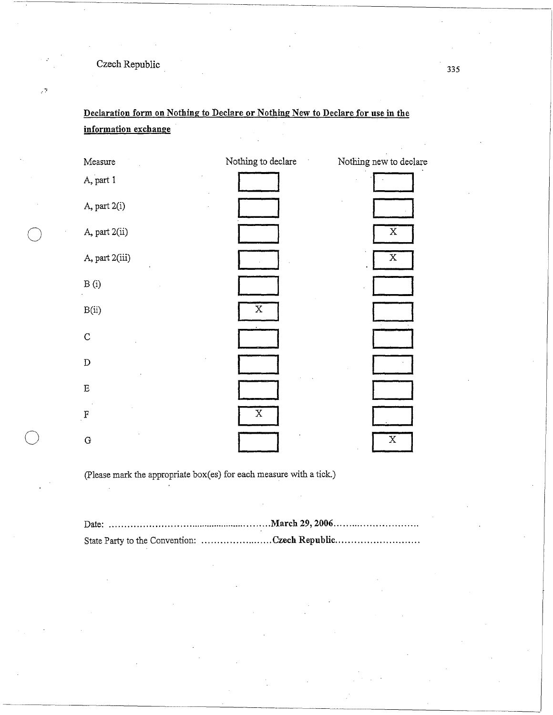Czech Republic **<sup>335</sup>**

 $\mathcal{L}^{\frac{1}{2}}$ 

**Declaration form on Nothing to Declare or Nothing New to Declare for use** in the **information exchange** 



(Please mark the appropriate box(es) for each measure with a tick.)

| State Party to the Convention: Czech Republic |
|-----------------------------------------------|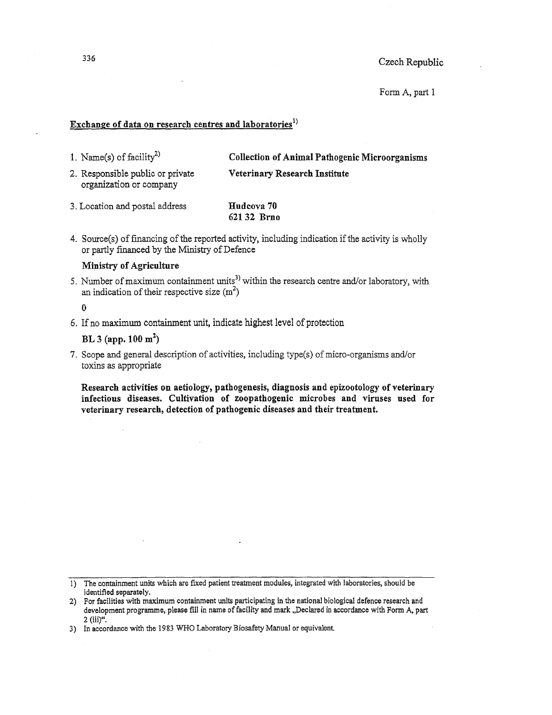Form A, part 1

### **Exchange of data on research centres and laboratories <sup>1</sup> >**

1. Name(s) of facility<sup>2)</sup>

**Collection of Animal Pathogenic Microorganisms Veterinary Research Institute** 

2. Responsible public or private organization or company

3. Location and postal address **Hudcova 70 62132 Brno** 

4. Source(s) of financing of the reported activity, including indication if the activity is wholly or partly financed by the Ministry of Defence

#### **Ministry of Agriculture**

5. Number of maximum containment units<sup>3)</sup> within the research centre and/or laboratory, with an indication of their respective size  $(m^2)$ 

0

6. If no maximum containment unit, indicate highest level of protection

**BL 3 (app. 100 m<sup>2</sup> )** 

7. Scope and general description of activities, including type(s) of micro-organisms and/or toxins as appropriate

**Research activities on aetiology, pathogenesis, diagnosis and epizootology of veterinary infectious diseases. Cultivation of zoopathogenic microbes and viruses used for veterinary research, detection of pathogenic diseases and their treatment.** 

J) The containment units which are fixed patient treatment modules, integrated with laboratories, should be identified separately.

2) For facilities with maximum containment units participating in the national biological defence research and development programme, please fill in name of facility and mark .,Declared in accordance with Form A, part 2 (iii)".

3) In accordance with the 1983 WHO Laboratory Biosafety Manual or equivalent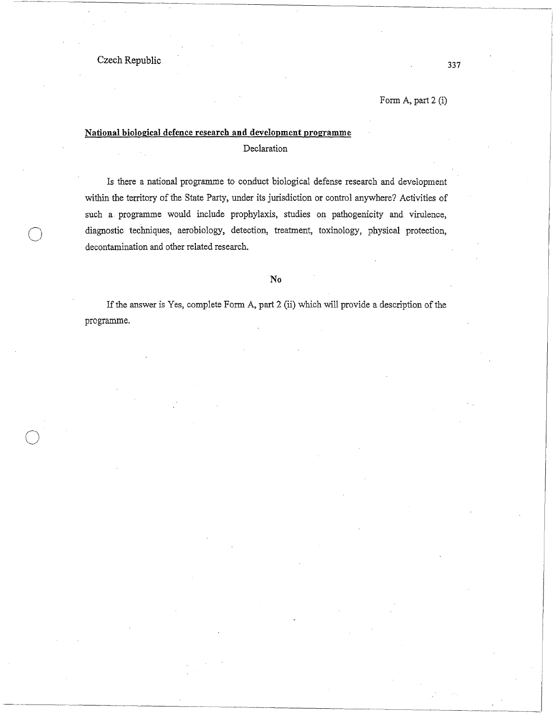$\bigcirc$ 

 $\bigcirc$ 

Form A, part 2 (i)

## **National biological defence research and development programme**

Declaration

Is there a national programme to conduct biological defense research and development within the territory of the State Party, under its jurisdiction or control anywhere? Activities of such a programme would include prophylaxis, studies on pathogenicity and virulence, diagnostic techniques, aerobiology, detection, treatment, toxinology, physical protection, decontamination and other related research.

#### **No**

If the answer is Yes, complete Form A, part 2 (ii) which will provide a description of the programme.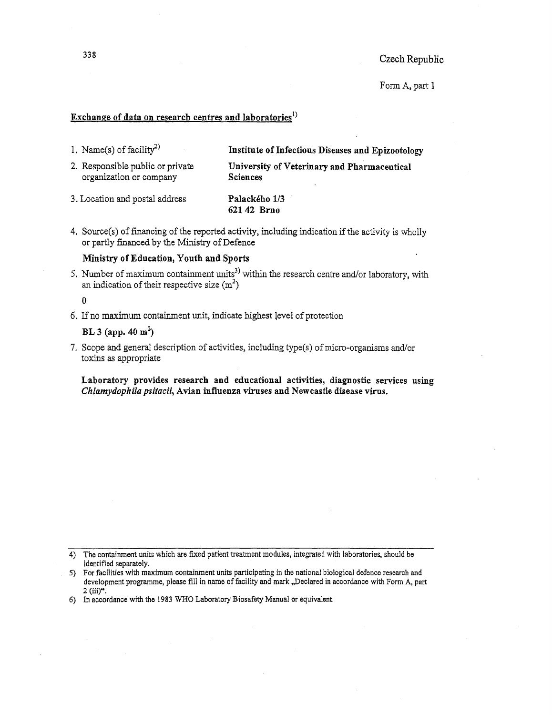Form A, part 1

### **Exchange of data on research centres and laboratories <sup>1</sup> )**

1. Name(s) of facility<sup>2)</sup>

**Institute of Infectious Diseases and Epizootology** 

2. Responsible public or private organization or company

**University of Veterinary and Pharmaceutical Sciences** 

- 3. Location and postal address **Palackeho** 1/3 **62142 Brno**
- 4. Source(s) of financing of the reported activity, including indication if the activity is wholly or partly financed by the Ministry of Defence

#### **Ministry of Education, Youth and Sports**

5. Number of maximum containment units<sup>3)</sup> within the research centre and/or laboratory, with an indication of their respective size  $(m^2)$ 

0

6. If no maximum containment unit, indicate highest jevel of protection

### **BL 3 (app. 40 m<sup>2</sup> )**

7. Scope and general description of activities, including type(s) of micro-organisms and/or toxins as appropriate

#### **Laboratory provides research and educational activities, diagnostic services using**  *Chlamydophila psitacii,* **Avian influenza viruses and Newcastle disease virus.**

<sup>4)</sup> The containment units which are fixed patient treatment modules, integrated with laboratories, should be identified separately.

<sup>5)</sup> For facilities with maximum containment units participating in the national biological defence research and development programme, please fill in name of facility and mark "Declared in accordance with Form A, part  $2$  (iii)".

<sup>6)</sup> In accordance with the 1983 WHO Laboratory Biosafety Manual or equivalent.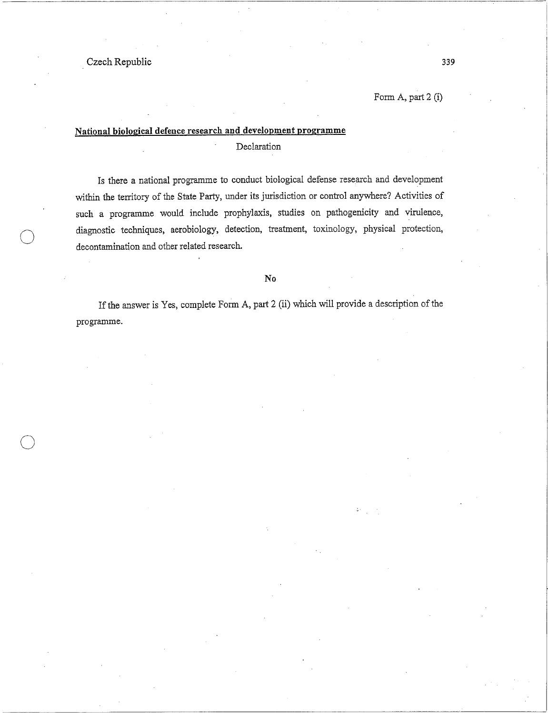. Czech Republic

 $\bigcirc$ 

 $\bigcirc$ 

Form A, part 2 (i)

# **National biological defence research and development programme**  Declaration

Is there a national programme to conduct biological defense research and development within the territory of the State Party, under its jurisdiction or control anywhere? Activities of such a programme would include prophylaxis, studies on pathogenicity and virulence, diagnostic techniques, aerobiology, detection, treatment, toxinology, physical protection, decontamination and other related research.

#### **No**

If the answer is Yes, complete Form A, part 2 (ii) which will provide a description of the programme.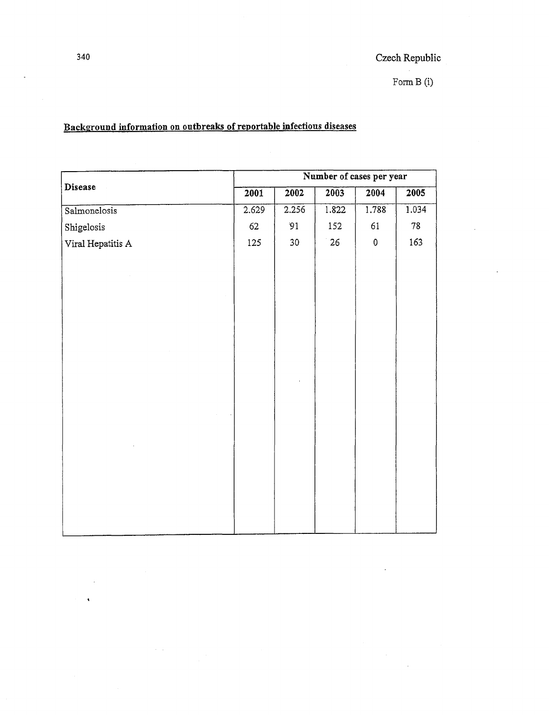$\label{eq:2.1} \begin{split} \frac{1}{\sqrt{2}}\frac{1}{\sqrt{2}}\frac{1}{\sqrt{2}}\frac{1}{\sqrt{2}}\frac{1}{\sqrt{2}}\frac{1}{\sqrt{2}}\frac{1}{\sqrt{2}}\frac{1}{\sqrt{2}}\frac{1}{\sqrt{2}}\frac{1}{\sqrt{2}}\frac{1}{\sqrt{2}}\frac{1}{\sqrt{2}}\frac{1}{\sqrt{2}}\frac{1}{\sqrt{2}}\frac{1}{\sqrt{2}}\frac{1}{\sqrt{2}}\frac{1}{\sqrt{2}}\frac{1}{\sqrt{2}}\frac{1}{\sqrt{2}}\frac{1}{\sqrt{2}}\frac{1}{\$ 

# **Background information on outbreaks of reportable infectious diseases**

|                   | Number of cases per year |                  |       |           |       |  |  |
|-------------------|--------------------------|------------------|-------|-----------|-------|--|--|
| Disease           | 2001                     | $\frac{1}{2002}$ | 2003  | 2004      | 2005  |  |  |
| Salmonelosis      | 2.629                    | 2.256            | 1.822 | 1.788     | 1.034 |  |  |
| Shigelosis        | 62                       | 91               | 152   | 61        | 78    |  |  |
| Viral Hepatitis A | 125                      | 30 <sub>2</sub>  | 26    | $\pmb{0}$ | 163   |  |  |
|                   |                          |                  |       |           |       |  |  |
|                   |                          |                  |       |           |       |  |  |
|                   |                          |                  |       |           |       |  |  |
|                   |                          |                  |       |           |       |  |  |
|                   |                          |                  |       |           |       |  |  |
|                   |                          |                  |       |           |       |  |  |
|                   |                          |                  |       |           |       |  |  |
|                   |                          |                  |       |           |       |  |  |
|                   |                          |                  |       |           |       |  |  |
|                   |                          |                  |       |           |       |  |  |
|                   |                          |                  |       |           |       |  |  |
|                   |                          |                  |       |           |       |  |  |
|                   |                          |                  |       |           |       |  |  |
|                   |                          |                  |       |           |       |  |  |
|                   |                          |                  |       |           |       |  |  |
|                   |                          |                  |       |           |       |  |  |
|                   |                          |                  |       |           |       |  |  |
|                   |                          |                  |       |           |       |  |  |

 $\hat{\mathbf{v}}$ 

 $\hat{\mathcal{A}}_{\text{max}}$ 

 $\overline{a}$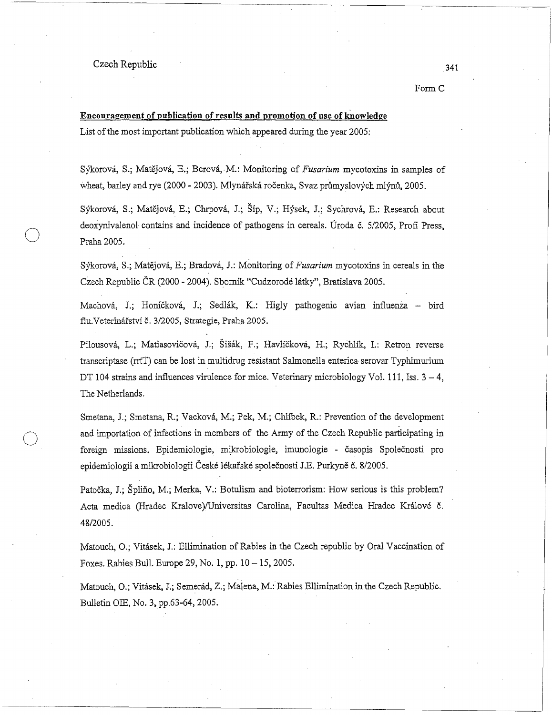#### Czech Republic

 $\bigcirc$ 

 $\bigcirc$ 

FormC

# **Encouragement of publication of results and promotion of use of knowledge** List of the most important publication whlch appeared during the year 2005:

Sykorova, S.; Matejova, E.; Berova, M.: Monitoring of *Fusarium* mycotoxins in samples of wheat, barley and rye (2000 - 2003). Mlynářská ročenka, Svaz průmyslových mlýnů, 2005.

Sýkorová, S.; Matějová, E.; Chrpová, J.; Šíp, V.; Hýsek, J.; Sychrová, E.: Research about deoxynivalenol contains and incidence of pathogens in cereals. Uroda c. 5/2005, Profi Press, Praha2005.

Sykorova, S.; Matejova, E.; Bradova, J.: Monitoring of *Fusarium* mycotoxins in cereals in the Czech Republic CR (2000 - 2004). Sbomik "Cudzorode latky", Bratislava 2005.

Machová, J.; Honíčková, J.; Sedlák, K.: Higly pathogenic avian influenza -- bird flu. Veterinářství č. 3/2005, Strategie, Praha 2005.

Pilousová, L.; Matiasovičová, J.; Šišák, F.; Havlíčková, H.; Rychlík, I.: Retron reverse transcriptase (rrtT) can be lost in multidrug resistant Salmonella enterica serovar Typhimurium DT 104 strains and influences virulence for mice. Veterinary microbiology Vol. 111, Iss.  $3 - 4$ , The Netherlands.

Smetana, J.; Smetana, R.; Vackova, M.; Pek, M.; Chlibek, R.: Prevention of the development and importation of infections in members of the Anny of the Czech Republic participating in foreign missions. Epidemiologie, mikrobiologie, imunologie - casopis Spolecnosti pro epidemiologii a mikrobiologii Ceske lekaiske spolecnosti J.E. Purkyne c. 8/2005.

Patočka, J.; Špliňo, M.; Merka, V.: Botulism and bioterrorism: How serious is this problem? Acta medica (Hradec Kralove )/Universitas Carolina, Facultas Medica Hradec Kralove c. 48/2005.

Matouch, O.; Vitasek, J.: Ellimination of Rabies in the Czech republic by Oral Vaccination of Foxes. Rabies Bull. Europe 29, No. 1, pp.  $10-15$ , 2005.

Matouch, O.; Vitasek, J.; Semerad, Z.; Malena, M.: Rabies Ellimination in the Czech Republic. Bulletin OIE, No. 3, pp 63-64, 2005.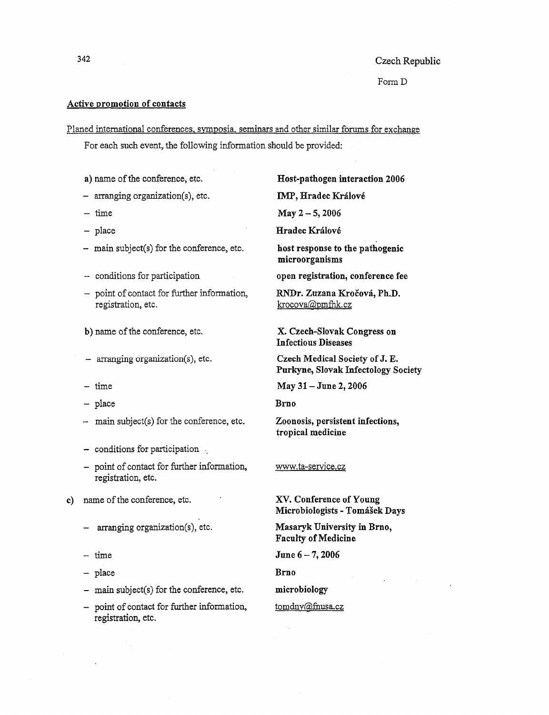Form D

### **Active promotion of contacts**

Planed international conferences, symposia. seminars and other similar forums for exchange

For each such event, the following information should be provided:

**a)** name of the conference, etc.

- arranging organization(s), etc.
- $-$  time
- $-$  place
- main subject(s) for the conference, etc.
- conditions for participation
- point of contact for further information, registration, etc.

b) name of the conference, etc.

- arranging organization(s), etc.
- $-$  time
- place
- main subject(s) for the conference, etc.
- conditions for participation .
- point of contact for further information, registration, etc.
- **c)** name of the conference, etc.
	- arranging organization(s), etc.
	- time
	- place
	- main subject(s) for the conference, etc.
	- point of contact for further information, registration, etc.

**Host-pathogen interaction 2006 IMP, Hradec Kralove May 2** - **5, 2006** 

**Hradec Kralove** 

**host response to the pathogenic microorganisms** 

**open registration, conference fee** 

**RNDr. Zuzana Krocova, Ph.D.**  krocova@pmfhk.cz

**X. Czech-Slovak Congress on Infectious Diseases** 

**Czech Medical Society of J.** E. **Purkyne, Slovak Infectology Society** 

**May 31- June 2, 2006** 

**Brno** 

**Zoonosis, persistent infections, tropical medicine** 

#### www.ta-service.cz

**XV. Conference of Young Microbiologists** - **Tomasek Days** 

**Masaryk University in Brno, Faculty of Medicine** 

**June 6** - 7, **2006** 

**Brno** 

**microbiology** 

#### tomdny@fnusa.cz